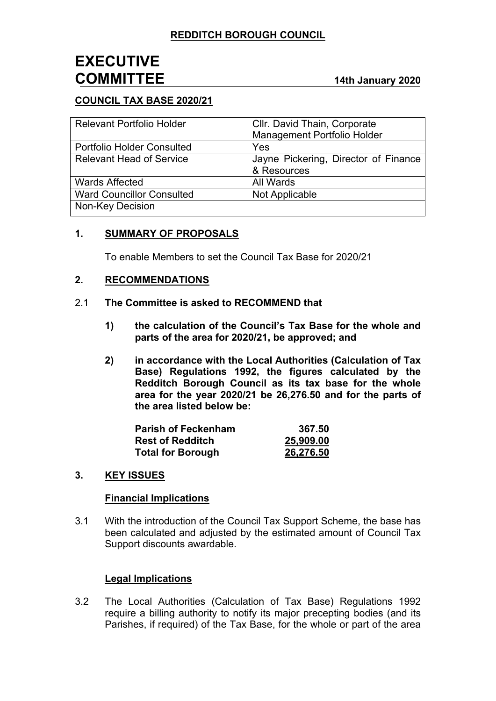# **EXECUTIVE COMMITTEE 14th January <sup>2020</sup>**

## **COUNCIL TAX BASE 2020/21**

| <b>Relevant Portfolio Holder</b>  | Cllr. David Thain, Corporate         |
|-----------------------------------|--------------------------------------|
|                                   | Management Portfolio Holder          |
| <b>Portfolio Holder Consulted</b> | <b>Yes</b>                           |
| <b>Relevant Head of Service</b>   | Jayne Pickering, Director of Finance |
|                                   | & Resources                          |
| <b>Wards Affected</b>             | All Wards                            |
| <b>Ward Councillor Consulted</b>  | Not Applicable                       |
| <b>Non-Key Decision</b>           |                                      |

### **1. SUMMARY OF PROPOSALS**

To enable Members to set the Council Tax Base for 2020/21

### **2. RECOMMENDATIONS**

### 2.1 **The Committee is asked to RECOMMEND that**

- **1) the calculation of the Council's Tax Base for the whole and parts of the area for 2020/21, be approved; and**
- **2) in accordance with the Local Authorities (Calculation of Tax Base) Regulations 1992, the figures calculated by the Redditch Borough Council as its tax base for the whole area for the year 2020/21 be 26,276.50 and for the parts of the area listed below be:**

| <b>Parish of Feckenham</b> | 367.50    |
|----------------------------|-----------|
| <b>Rest of Redditch</b>    | 25,909.00 |
| <b>Total for Borough</b>   | 26,276.50 |

### **3. KEY ISSUES**

### **Financial Implications**

3.1 With the introduction of the Council Tax Support Scheme, the base has been calculated and adjusted by the estimated amount of Council Tax Support discounts awardable.

### **Legal Implications**

3.2 The Local Authorities (Calculation of Tax Base) Regulations 1992 require a billing authority to notify its major precepting bodies (and its Parishes, if required) of the Tax Base, for the whole or part of the area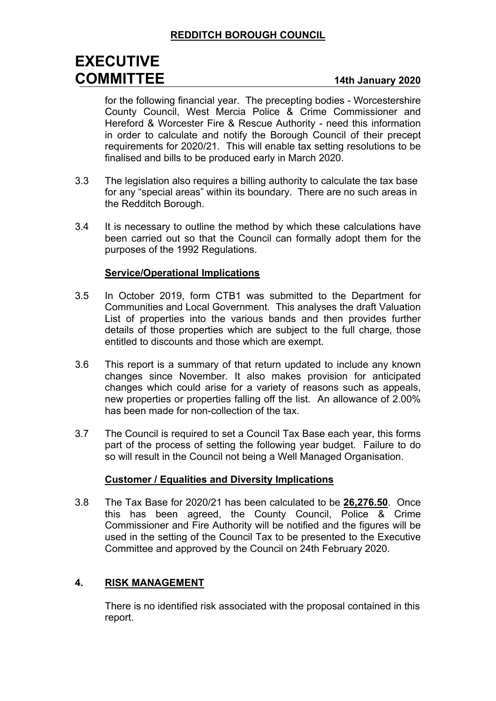# **EXECUTIVE COMMITTEE 14th January <sup>2020</sup>**

for the following financial year. The precepting bodies - Worcestershire County Council, West Mercia Police & Crime Commissioner and Hereford & Worcester Fire & Rescue Authority - need this information in order to calculate and notify the Borough Council of their precept requirements for 2020/21. This will enable tax setting resolutions to be finalised and bills to be produced early in March 2020.

- 3.3 The legislation also requires a billing authority to calculate the tax base for any "special areas" within its boundary. There are no such areas in the Redditch Borough.
- 3.4 It is necessary to outline the method by which these calculations have been carried out so that the Council can formally adopt them for the purposes of the 1992 Regulations.

### **Service/Operational Implications**

- 3.5 In October 2019, form CTB1 was submitted to the Department for Communities and Local Government. This analyses the draft Valuation List of properties into the various bands and then provides further details of those properties which are subject to the full charge, those entitled to discounts and those which are exempt.
- 3.6 This report is a summary of that return updated to include any known changes since November. It also makes provision for anticipated changes which could arise for a variety of reasons such as appeals, new properties or properties falling off the list. An allowance of 2.00% has been made for non-collection of the tax.
- 3.7 The Council is required to set a Council Tax Base each year, this forms part of the process of setting the following year budget. Failure to do so will result in the Council not being a Well Managed Organisation.

### **Customer / Equalities and Diversity Implications**

3.8 The Tax Base for 2020/21 has been calculated to be **26,276.50**. Once this has been agreed, the County Council, Police  $\&$  Crime Commissioner and Fire Authority will be notified and the figures will be used in the setting of the Council Tax to be presented to the Executive Committee and approved by the Council on 24th February 2020.

## **4. RISK MANAGEMENT**

There is no identified risk associated with the proposal contained in this report.